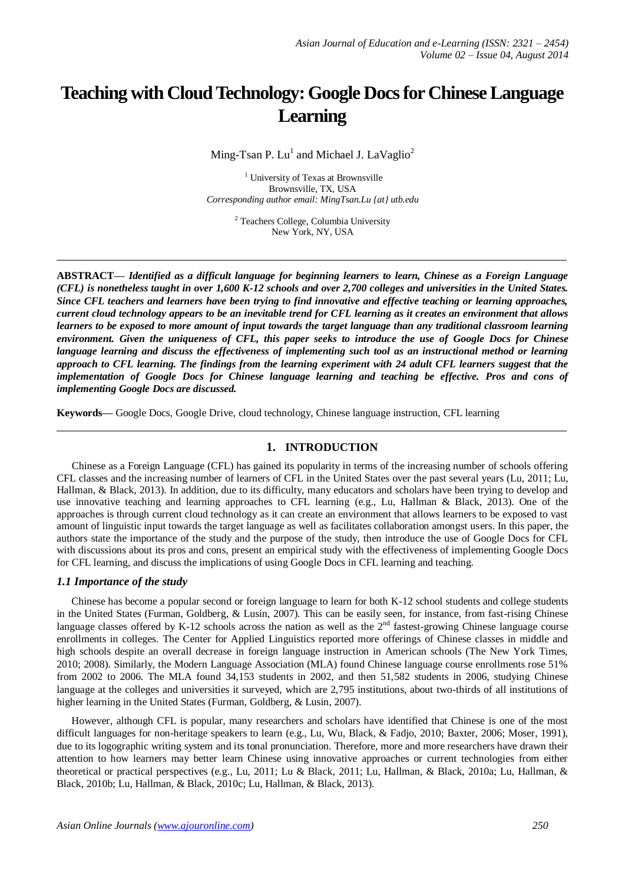# **Teaching with Cloud Technology: Google Docs for Chinese Language Learning**

Ming-Tsan P.  $Lu^1$  and Michael J. LaVaglio<sup>2</sup>

<sup>1</sup> University of Texas at Brownsville Brownsville, TX, USA *Corresponding author email: MingTsan.Lu {at} utb.edu*

> <sup>2</sup> Teachers College, Columbia University New York, NY, USA

**\_\_\_\_\_\_\_\_\_\_\_\_\_\_\_\_\_\_\_\_\_\_\_\_\_\_\_\_\_\_\_\_\_\_\_\_\_\_\_\_\_\_\_\_\_\_\_\_\_\_\_\_\_\_\_\_\_\_\_\_\_\_\_\_\_\_\_\_\_\_\_\_\_\_\_\_\_\_\_\_\_**

**ABSTRACT—** *Identified as a difficult language for beginning learners to learn, Chinese as a Foreign Language (CFL) is nonetheless taught in over 1,600 K-12 schools and over 2,700 colleges and universities in the United States. Since CFL teachers and learners have been trying to find innovative and effective teaching or learning approaches, current cloud technology appears to be an inevitable trend for CFL learning as it creates an environment that allows learners to be exposed to more amount of input towards the target language than any traditional classroom learning environment. Given the uniqueness of CFL, this paper seeks to introduce the use of Google Docs for Chinese language learning and discuss the effectiveness of implementing such tool as an instructional method or learning approach to CFL learning. The findings from the learning experiment with 24 adult CFL learners suggest that the implementation of Google Docs for Chinese language learning and teaching be effective. Pros and cons of implementing Google Docs are discussed.*

**Keywords—** Google Docs, Google Drive, cloud technology, Chinese language instruction, CFL learning

# **1. INTRODUCTION**

**\_\_\_\_\_\_\_\_\_\_\_\_\_\_\_\_\_\_\_\_\_\_\_\_\_\_\_\_\_\_\_\_\_\_\_\_\_\_\_\_\_\_\_\_\_\_\_\_\_\_\_\_\_\_\_\_\_\_\_\_\_\_\_\_\_\_\_\_\_\_\_\_\_\_\_\_\_\_\_\_\_**

Chinese as a Foreign Language (CFL) has gained its popularity in terms of the increasing number of schools offering CFL classes and the increasing number of learners of CFL in the United States over the past several years (Lu, 2011; Lu, Hallman, & Black, 2013). In addition, due to its difficulty, many educators and scholars have been trying to develop and use innovative teaching and learning approaches to CFL learning (e.g., Lu, Hallman & Black, 2013). One of the approaches is through current cloud technology as it can create an environment that allows learners to be exposed to vast amount of linguistic input towards the target language as well as facilitates collaboration amongst users. In this paper, the authors state the importance of the study and the purpose of the study, then introduce the use of Google Docs for CFL with discussions about its pros and cons, present an empirical study with the effectiveness of implementing Google Docs for CFL learning, and discuss the implications of using Google Docs in CFL learning and teaching.

# *1.1 Importance of the study*

Chinese has become a popular second or foreign language to learn for both K-12 school students and college students in the United States (Furman, Goldberg, & Lusin, 2007). This can be easily seen, for instance, from fast-rising Chinese language classes offered by K-12 schools across the nation as well as the  $2<sup>nd</sup>$  fastest-growing Chinese language course enrollments in colleges. The Center for Applied Linguistics reported more offerings of Chinese classes in middle and high schools despite an overall decrease in foreign language instruction in American schools (The New York Times, 2010; 2008). Similarly, the Modern Language Association (MLA) found Chinese language course enrollments rose 51% from 2002 to 2006. The MLA found 34,153 students in 2002, and then 51,582 students in 2006, studying Chinese language at the colleges and universities it surveyed, which are 2,795 institutions, about two-thirds of all institutions of higher learning in the United States (Furman, Goldberg, & Lusin, 2007).

However, although CFL is popular, many researchers and scholars have identified that Chinese is one of the most difficult languages for non-heritage speakers to learn (e.g., Lu, Wu, Black, & Fadjo, 2010; Baxter, 2006; Moser, 1991), due to its logographic writing system and its tonal pronunciation. Therefore, more and more researchers have drawn their attention to how learners may better learn Chinese using innovative approaches or current technologies from either theoretical or practical perspectives (e.g., Lu, 2011; Lu & Black, 2011; Lu, Hallman, & Black, 2010a; Lu, Hallman, & Black, 2010b; Lu, Hallman, & Black, 2010c; Lu, Hallman, & Black, 2013).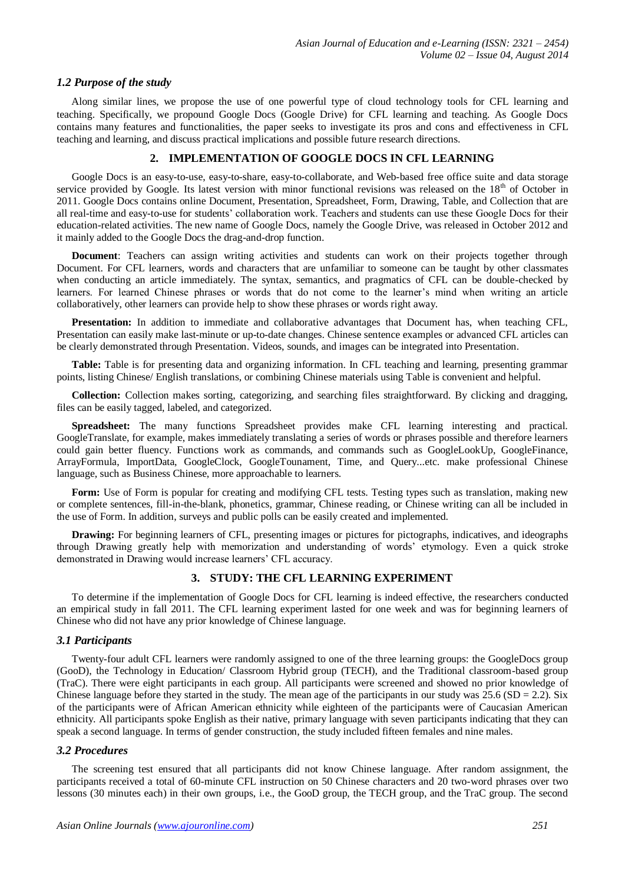# *1.2 Purpose of the study*

Along similar lines, we propose the use of one powerful type of cloud technology tools for CFL learning and teaching. Specifically, we propound Google Docs (Google Drive) for CFL learning and teaching. As Google Docs contains many features and functionalities, the paper seeks to investigate its pros and cons and effectiveness in CFL teaching and learning, and discuss practical implications and possible future research directions.

# **2. IMPLEMENTATION OF GOOGLE DOCS IN CFL LEARNING**

Google Docs is an easy-to-use, easy-to-share, easy-to-collaborate, and Web-based free office suite and data storage service provided by Google. Its latest version with minor functional revisions was released on the 18<sup>th</sup> of October in 2011. Google Docs contains online Document, Presentation, Spreadsheet, Form, Drawing, Table, and Collection that are all real-time and easy-to-use for students' collaboration work. Teachers and students can use these Google Docs for their education-related activities. The new name of Google Docs, namely the Google Drive, was released in October 2012 and it mainly added to the Google Docs the drag-and-drop function.

**Document**: Teachers can assign writing activities and students can work on their projects together through Document. For CFL learners, words and characters that are unfamiliar to someone can be taught by other classmates when conducting an article immediately. The syntax, semantics, and pragmatics of CFL can be double-checked by learners. For learned Chinese phrases or words that do not come to the learner's mind when writing an article collaboratively, other learners can provide help to show these phrases or words right away.

**Presentation:** In addition to immediate and collaborative advantages that Document has, when teaching CFL, Presentation can easily make last-minute or up-to-date changes. Chinese sentence examples or advanced CFL articles can be clearly demonstrated through Presentation. Videos, sounds, and images can be integrated into Presentation.

**Table:** Table is for presenting data and organizing information. In CFL teaching and learning, presenting grammar points, listing Chinese/ English translations, or combining Chinese materials using Table is convenient and helpful.

**Collection:** Collection makes sorting, categorizing, and searching files straightforward. By clicking and dragging, files can be easily tagged, labeled, and categorized.

**Spreadsheet:** The many functions Spreadsheet provides make CFL learning interesting and practical. GoogleTranslate, for example, makes immediately translating a series of words or phrases possible and therefore learners could gain better fluency. Functions work as commands, and commands such as GoogleLookUp, GoogleFinance, ArrayFormula, ImportData, GoogleClock, GoogleTounament, Time, and Query...etc. make professional Chinese language, such as Business Chinese, more approachable to learners.

Form: Use of Form is popular for creating and modifying CFL tests. Testing types such as translation, making new or complete sentences, fill-in-the-blank, phonetics, grammar, Chinese reading, or Chinese writing can all be included in the use of Form. In addition, surveys and public polls can be easily created and implemented.

**Drawing:** For beginning learners of CFL, presenting images or pictures for pictographs, indicatives, and ideographs through Drawing greatly help with memorization and understanding of words' etymology. Even a quick stroke demonstrated in Drawing would increase learners' CFL accuracy.

# **3. STUDY: THE CFL LEARNING EXPERIMENT**

To determine if the implementation of Google Docs for CFL learning is indeed effective, the researchers conducted an empirical study in fall 2011. The CFL learning experiment lasted for one week and was for beginning learners of Chinese who did not have any prior knowledge of Chinese language.

# *3.1 Participants*

Twenty-four adult CFL learners were randomly assigned to one of the three learning groups: the GoogleDocs group (GooD), the Technology in Education/ Classroom Hybrid group (TECH), and the Traditional classroom-based group (TraC). There were eight participants in each group. All participants were screened and showed no prior knowledge of Chinese language before they started in the study. The mean age of the participants in our study was  $25.6$  (SD = 2.2). Six of the participants were of African American ethnicity while eighteen of the participants were of Caucasian American ethnicity. All participants spoke English as their native, primary language with seven participants indicating that they can speak a second language. In terms of gender construction, the study included fifteen females and nine males.

# *3.2 Procedures*

The screening test ensured that all participants did not know Chinese language. After random assignment, the participants received a total of 60-minute CFL instruction on 50 Chinese characters and 20 two-word phrases over two lessons (30 minutes each) in their own groups, i.e., the GooD group, the TECH group, and the TraC group. The second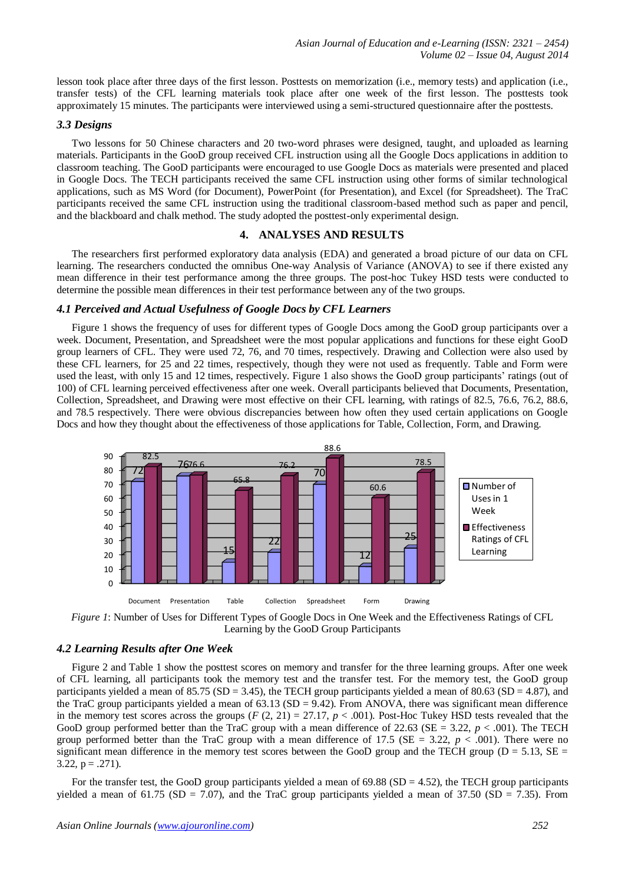lesson took place after three days of the first lesson. Posttests on memorization (i.e., memory tests) and application (i.e., transfer tests) of the CFL learning materials took place after one week of the first lesson. The posttests took approximately 15 minutes. The participants were interviewed using a semi-structured questionnaire after the posttests.

#### *3.3 Designs*

Two lessons for 50 Chinese characters and 20 two-word phrases were designed, taught, and uploaded as learning materials. Participants in the GooD group received CFL instruction using all the Google Docs applications in addition to classroom teaching. The GooD participants were encouraged to use Google Docs as materials were presented and placed in Google Docs. The TECH participants received the same CFL instruction using other forms of similar technological applications, such as MS Word (for Document), PowerPoint (for Presentation), and Excel (for Spreadsheet). The TraC participants received the same CFL instruction using the traditional classroom-based method such as paper and pencil, and the blackboard and chalk method. The study adopted the posttest-only experimental design.

#### **4. ANALYSES AND RESULTS**

The researchers first performed exploratory data analysis (EDA) and generated a broad picture of our data on CFL learning. The researchers conducted the omnibus One-way Analysis of Variance (ANOVA) to see if there existed any mean difference in their test performance among the three groups. The post-hoc Tukey HSD tests were conducted to determine the possible mean differences in their test performance between any of the two groups.

#### *4.1 Perceived and Actual Usefulness of Google Docs by CFL Learners*

Figure 1 shows the frequency of uses for different types of Google Docs among the GooD group participants over a week. Document, Presentation, and Spreadsheet were the most popular applications and functions for these eight GooD group learners of CFL. They were used 72, 76, and 70 times, respectively. Drawing and Collection were also used by these CFL learners, for 25 and 22 times, respectively, though they were not used as frequently. Table and Form were used the least, with only 15 and 12 times, respectively. Figure 1 also shows the GooD group participants' ratings (out of 100) of CFL learning perceived effectiveness after one week. Overall participants believed that Documents, Presentation, Collection, Spreadsheet, and Drawing were most effective on their CFL learning, with ratings of 82.5, 76.6, 76.2, 88.6, and 78.5 respectively. There were obvious discrepancies between how often they used certain applications on Google Docs and how they thought about the effectiveness of those applications for Table, Collection, Form, and Drawing.



*Figure 1*: Number of Uses for Different Types of Google Docs in One Week and the Effectiveness Ratings of CFL Learning by the GooD Group Participants

# *4.2 Learning Results after One Week*

Figure 2 and Table 1 show the posttest scores on memory and transfer for the three learning groups. After one week of CFL learning, all participants took the memory test and the transfer test. For the memory test, the GooD group participants yielded a mean of 85.75 (SD = 3.45), the TECH group participants yielded a mean of 80.63 (SD = 4.87), and the TraC group participants yielded a mean of  $63.13$  (SD = 9.42). From ANOVA, there was significant mean difference in the memory test scores across the groups  $(F (2, 21) = 27.17, p < .001)$ . Post-Hoc Tukey HSD tests revealed that the GooD group performed better than the TraC group with a mean difference of 22.63 ( $SE = 3.22$ ,  $p < .001$ ). The TECH group performed better than the TraC group with a mean difference of 17.5 ( $SE = 3.22$ ,  $p < .001$ ). There were no significant mean difference in the memory test scores between the GooD group and the TECH group ( $D = 5.13$ ,  $SE =$ 3.22,  $p = .271$ ).

For the transfer test, the GooD group participants yielded a mean of 69.88 ( $SD = 4.52$ ), the TECH group participants yielded a mean of 61.75 (SD = 7.07), and the TraC group participants yielded a mean of 37.50 (SD = 7.35). From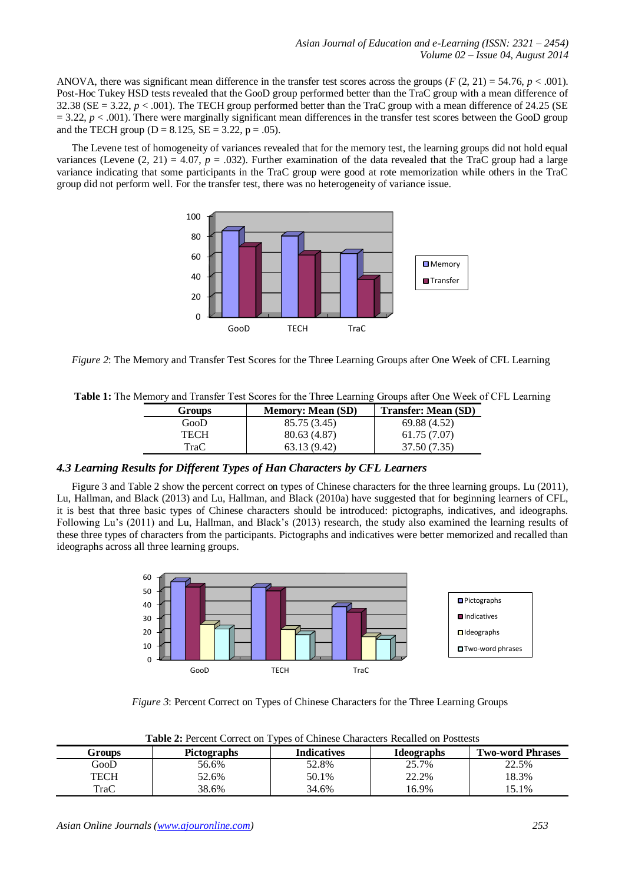ANOVA, there was significant mean difference in the transfer test scores across the groups  $(F(2, 21) = 54.76, p < .001)$ . Post-Hoc Tukey HSD tests revealed that the GooD group performed better than the TraC group with a mean difference of 32.38 ( $SE = 3.22$ ,  $p < .001$ ). The TECH group performed better than the TraC group with a mean difference of 24.25 ( $SE$  $= 3.22$ ,  $p < .001$ ). There were marginally significant mean differences in the transfer test scores between the GooD group and the TECH group ( $D = 8.125$ ,  $SE = 3.22$ ,  $p = .05$ ).

The Levene test of homogeneity of variances revealed that for the memory test, the learning groups did not hold equal variances (Levene  $(2, 21) = 4.07$ ,  $p = .032$ ). Further examination of the data revealed that the TraC group had a large variance indicating that some participants in the TraC group were good at rote memorization while others in the TraC group did not perform well. For the transfer test, there was no heterogeneity of variance issue.



*Figure 2*: The Memory and Transfer Test Scores for the Three Learning Groups after One Week of CFL Learning

|  | Table 1: The Memory and Transfer Test Scores for the Three Learning Groups after One Week of CFL Learning |
|--|-----------------------------------------------------------------------------------------------------------|
|  |                                                                                                           |

| Groups | <b>Memory: Mean (SD)</b> | Transfer: Mean (SD) |
|--------|--------------------------|---------------------|
| GooD   | 85.75 (3.45)             | 69.88 (4.52)        |
| TECH   | 80.63 (4.87)             | 61.75(7.07)         |
| TraC   | 63.13 (9.42)             | 37.50 (7.35)        |

# *4.3 Learning Results for Different Types of Han Characters by CFL Learners*

Figure 3 and Table 2 show the percent correct on types of Chinese characters for the three learning groups. Lu (2011), Lu, Hallman, and Black (2013) and Lu, Hallman, and Black (2010a) have suggested that for beginning learners of CFL, it is best that three basic types of Chinese characters should be introduced: pictographs, indicatives, and ideographs. Following Lu's (2011) and Lu, Hallman, and Black's (2013) research, the study also examined the learning results of these three types of characters from the participants. Pictographs and indicatives were better memorized and recalled than ideographs across all three learning groups.



*Figure 3*: Percent Correct on Types of Chinese Characters for the Three Learning Groups

| Table 2: Percent Correct on Types of Chinese Characters Recalled on Posttests |  |
|-------------------------------------------------------------------------------|--|
|-------------------------------------------------------------------------------|--|

| Groups                  | <b>Pictographs</b> | Indicatives | <b>Ideographs</b> | <b>Two-word Phrases</b> |
|-------------------------|--------------------|-------------|-------------------|-------------------------|
| $\operatorname{Goo}\!D$ | 56.6%              | 52.8%       | 25.7%             | 22.5%                   |
| TECH                    | 52.6%              | 50.1%       | 22.2%             | 18.3%                   |
| TraC                    | 38.6%              | 34.6%       | 16.9%             | $.1\%$                  |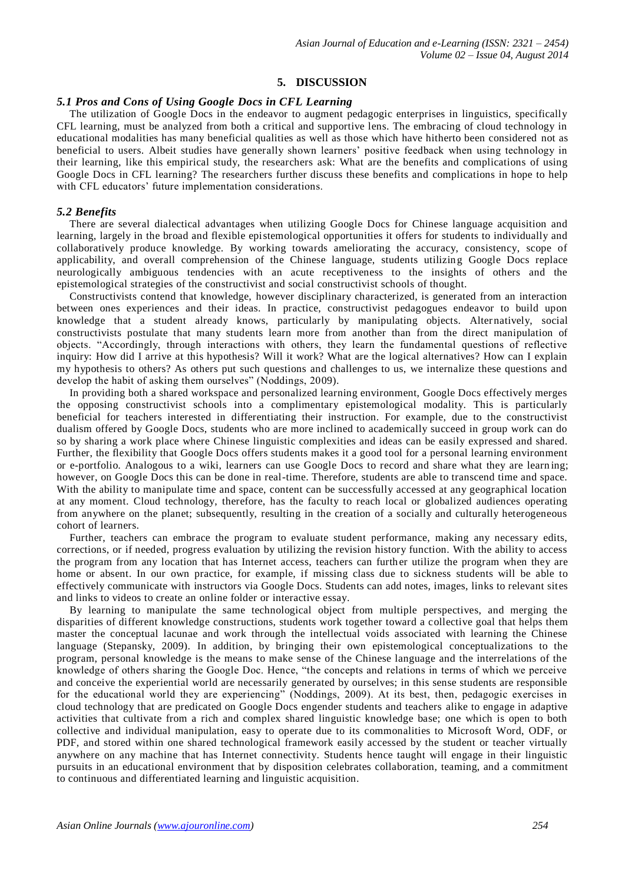# **5. DISCUSSION**

#### *5.1 Pros and Cons of Using Google Docs in CFL Learning*

The utilization of Google Docs in the endeavor to augment pedagogic enterprises in linguistics, specifically CFL learning, must be analyzed from both a critical and supportive lens. The embracing of cloud technology in educational modalities has many beneficial qualities as well as those which have hitherto been considered not as beneficial to users. Albeit studies have generally shown learners' positive feedback when using technology in their learning, like this empirical study, the researchers ask: What are the benefits and complications of using Google Docs in CFL learning? The researchers further discuss these benefits and complications in hope to help with CFL educators' future implementation considerations.

#### *5.2 Benefits*

There are several dialectical advantages when utilizing Google Docs for Chinese language acquisition and learning, largely in the broad and flexible epistemological opportunities it offers for students to individually and collaboratively produce knowledge. By working towards ameliorating the accuracy, consistency, scope of applicability, and overall comprehension of the Chinese language, students utilizing Google Docs replace neurologically ambiguous tendencies with an acute receptiveness to the insights of others and the epistemological strategies of the constructivist and social constructivist schools of thought.

Constructivists contend that knowledge, however disciplinary characterized, is generated from an interaction between ones experiences and their ideas. In practice, constructivist pedagogues endeavor to build upon knowledge that a student already knows, particularly by manipulating objects. Alternatively, social constructivists postulate that many students learn more from another than from the direct manipulation of objects. "Accordingly, through interactions with others, they learn the fundamental questions of reflective inquiry: How did I arrive at this hypothesis? Will it work? What are the logical alternatives? How can I explain my hypothesis to others? As others put such questions and challenges to us, we internalize these questions and develop the habit of asking them ourselves" (Noddings, 2009).

In providing both a shared workspace and personalized learning environment, Google Docs effectively merges the opposing constructivist schools into a complimentary epistemological modality. This is particularly beneficial for teachers interested in differentiating their instruction. For example, due to the constructivist dualism offered by Google Docs, students who are more inclined to academically succeed in group work can do so by sharing a work place where Chinese linguistic complexities and ideas can be easily expressed and shared. Further, the flexibility that Google Docs offers students makes it a good tool for a personal learning environment or e-portfolio. Analogous to a wiki, learners can use Google Docs to record and share what they are learn ing; however, on Google Docs this can be done in real-time. Therefore, students are able to transcend time and space. With the ability to manipulate time and space, content can be successfully accessed at any geographical location at any moment. Cloud technology, therefore, has the faculty to reach local or globalized audiences operating from anywhere on the planet; subsequently, resulting in the creation of a socially and culturally heterogeneous cohort of learners.

Further, teachers can embrace the program to evaluate student performance, making any necessary edits, corrections, or if needed, progress evaluation by utilizing the revision history function. With the ability to access the program from any location that has Internet access, teachers can further utilize the program when they are home or absent. In our own practice, for example, if missing class due to sickness students will be able to effectively communicate with instructors via Google Docs. Students can add notes, images, links to relevant sites and links to videos to create an online folder or interactive essay.

By learning to manipulate the same technological object from multiple perspectives, and merging the disparities of different knowledge constructions, students work together toward a collective goal that helps them master the conceptual lacunae and work through the intellectual voids associated with learning the Chinese language (Stepansky, 2009). In addition, by bringing their own epistemological conceptualizations to the program, personal knowledge is the means to make sense of the Chinese language and the interrelations of the knowledge of others sharing the Google Doc. Hence, "the concepts and relations in terms of which we perceive and conceive the experiential world are necessarily generated by ourselves; in this sense students are responsible for the educational world they are experiencing" (Noddings, 2009). At its best, then, pedagogic exercises in cloud technology that are predicated on Google Docs engender students and teachers alike to engage in adaptive activities that cultivate from a rich and complex shared linguistic knowledge base; one which is open to both collective and individual manipulation, easy to operate due to its commonalities to Microsoft Word, ODF, or PDF, and stored within one shared technological framework easily accessed by the student or teacher virtually anywhere on any machine that has Internet connectivity. Students hence taught will engage in their linguistic pursuits in an educational environment that by disposition celebrates collaboration, teaming, and a commitment to continuous and differentiated learning and linguistic acquisition.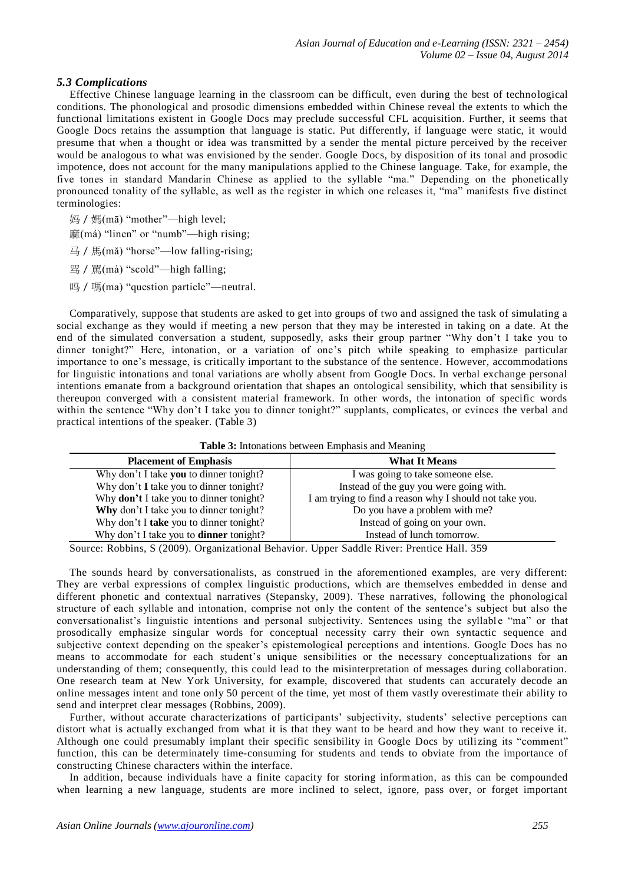# *5.3 Complications*

Effective Chinese language learning in the classroom can be difficult, even during the best of technological conditions. The phonological and prosodic dimensions embedded within Chinese reveal the extents to which the functional limitations existent in Google Docs may preclude successful CFL acquisition. Further, it seems that Google Docs retains the assumption that language is static. Put differently, if language were static, it would presume that when a thought or idea was transmitted by a sender the mental picture perceived by the receiver would be analogous to what was envisioned by the sender. Google Docs, by disposition of its tonal and prosodic impotence, does not account for the many manipulations applied to the Chinese language. Take, for example, the five tones in standard Mandarin Chinese as applied to the syllable "ma." Depending on the phonetic ally pronounced tonality of the syllable, as well as the register in which one releases it, "ma" manifests five distinct terminologies:

妈 / 媽(mā) "mother"—high level;

麻(má) "linen" or "numb"—high rising;

马/馬(mǎ) "horse"—low falling-rising;

骂/罵(mà) "scold"—high falling;

吗 / 嗎(ma) "question particle"—neutral.

Comparatively, suppose that students are asked to get into groups of two and assigned the task of simulating a social exchange as they would if meeting a new person that they may be interested in taking on a date. At the end of the simulated conversation a student, supposedly, asks their group partner "Why don't I take you to dinner tonight?" Here, intonation, or a variation of one's pitch while speaking to emphasize particular importance to one's message, is critically important to the substance of the sentence. However, accommodations for linguistic intonations and tonal variations are wholly absent from Google Docs. In verbal exchange personal intentions emanate from a background orientation that shapes an ontological sensibility, which that sensibility is thereupon converged with a consistent material framework. In other words, the intonation of specific words within the sentence "Why don't I take you to dinner tonight?" supplants, complicates, or evinces the verbal and practical intentions of the speaker. (Table 3)

| <b>Table 3:</b> Intonations between Emphasis and Meaning |                                                         |  |  |  |
|----------------------------------------------------------|---------------------------------------------------------|--|--|--|
| <b>Placement of Emphasis</b>                             | <b>What It Means</b>                                    |  |  |  |
| Why don't I take you to dinner tonight?                  | I was going to take someone else.                       |  |  |  |
| Why don't I take you to dinner tonight?                  | Instead of the guy you were going with.                 |  |  |  |
| Why don't I take you to dinner tonight?                  | I am trying to find a reason why I should not take you. |  |  |  |
| Why don't I take you to dinner tonight?                  | Do you have a problem with me?                          |  |  |  |
| Why don't I take you to dinner tonight?                  | Instead of going on your own.                           |  |  |  |
| Why don't I take you to <b>dinner</b> tonight?           | Instead of lunch tomorrow.                              |  |  |  |

Source: Robbins, S (2009). Organizational Behavior. Upper Saddle River: Prentice Hall. 359

The sounds heard by conversationalists, as construed in the aforementioned examples, are very different: They are verbal expressions of complex linguistic productions, which are themselves embedded in dense and different phonetic and contextual narratives (Stepansky, 2009). These narratives, following the phonological structure of each syllable and intonation, comprise not only the content of the sentence's subject but also the conversationalist's linguistic intentions and personal subjectivity. Sentences using the syllable "ma" or that prosodically emphasize singular words for conceptual necessity carry their own syntactic sequence and subjective context depending on the speaker's epistemological perceptions and intentions. Google Docs has no means to accommodate for each student's unique sensibilities or the necessary conceptualizations for an understanding of them; consequently, this could lead to the misinterpretation of messages during collaboration. One research team at New York University, for example, discovered that students can accurately decode an online messages intent and tone only 50 percent of the time, yet most of them vastly overestimate their ability to send and interpret clear messages (Robbins, 2009).

Further, without accurate characterizations of participants' subjectivity, students' selective perceptions can distort what is actually exchanged from what it is that they want to be heard and how they want to receive it. Although one could presumably implant their specific sensibility in Google Docs by utili zing its "comment" function, this can be determinately time-consuming for students and tends to obviate from the importance of constructing Chinese characters within the interface.

In addition, because individuals have a finite capacity for storing information, as this can be compounded when learning a new language, students are more inclined to select, ignore, pass over, or forget important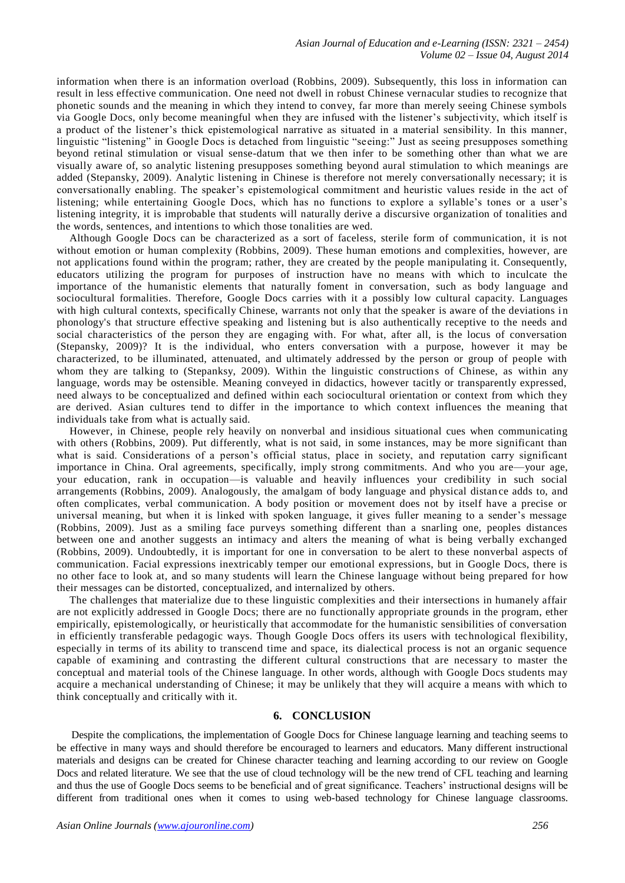information when there is an information overload (Robbins, 2009). Subsequently, this loss in information can result in less effective communication. One need not dwell in robust Chinese vernacular studies to recognize that phonetic sounds and the meaning in which they intend to convey, far more than merely seeing Chinese symbols via Google Docs, only become meaningful when they are infused with the listener's subjectivity, which itself is a product of the listener's thick epistemological narrative as situated in a material sensibility. In this manner, linguistic "listening" in Google Docs is detached from linguistic "seeing:" Just as seeing presupposes something beyond retinal stimulation or visual sense-datum that we then infer to be something other than what we are visually aware of, so analytic listening presupposes something beyond aural stimulation to which meanings are added (Stepansky, 2009). Analytic listening in Chinese is therefore not merely conversationally necessary; it is conversationally enabling. The speaker's epistemological commitment and heuristic values reside in the act of listening; while entertaining Google Docs, which has no functions to explore a syllable's tones or a user's listening integrity, it is improbable that students will naturally derive a discursive organization of tonalities and the words, sentences, and intentions to which those tonalities are wed.

Although Google Docs can be characterized as a sort of faceless, sterile form of communication, it is not without emotion or human complexity (Robbins, 2009). These human emotions and complexities, however, are not applications found within the program; rather, they are created by the people manipulating it. Consequently, educators utilizing the program for purposes of instruction have no means with which to inculcate the importance of the humanistic elements that naturally foment in conversation, such as body language and sociocultural formalities. Therefore, Google Docs carries with it a possibly low cultural capacity. Languages with high cultural contexts, specifically Chinese, warrants not only that the speaker is aware of the deviations in phonology's that structure effective speaking and listening but is also authentically receptive to the needs and social characteristics of the person they are engaging with. For what, after all, is the locus of conversation (Stepansky, 2009)? It is the individual, who enters conversation with a purpose, however it may be characterized, to be illuminated, attenuated, and ultimately addressed by the person or group of people with whom they are talking to (Stepanksy, 2009). Within the linguistic constructions of Chinese, as within any language, words may be ostensible. Meaning conveyed in didactics, however tacitly or transparently expressed, need always to be conceptualized and defined within each sociocultural orientation or context from which they are derived. Asian cultures tend to differ in the importance to which context influences the meaning that individuals take from what is actually said.

However, in Chinese, people rely heavily on nonverbal and insidious situational cues when communicating with others (Robbins, 2009). Put differently, what is not said, in some instances, may be more significant than what is said. Considerations of a person's official status, place in society, and reputation carry significant importance in China. Oral agreements, specifically, imply strong commitments. And who you are—your age, your education, rank in occupation—is valuable and heavily influences your credibility in such social arrangements (Robbins, 2009). Analogously, the amalgam of body language and physical distan ce adds to, and often complicates, verbal communication. A body position or movement does not by itself have a precise or universal meaning, but when it is linked with spoken language, it gives fuller meaning to a sender's message (Robbins, 2009). Just as a smiling face purveys something different than a snarling one, peoples distances between one and another suggests an intimacy and alters the meaning of what is being verbally exchanged (Robbins, 2009). Undoubtedly, it is important for one in conversation to be alert to these nonverbal aspects of communication. Facial expressions inextricably temper our emotional expressions, but in Google Docs, there is no other face to look at, and so many students will learn the Chinese language without being prepared for how their messages can be distorted, conceptualized, and internalized by others.

The challenges that materialize due to these linguistic complexities and their intersections in humanely affair are not explicitly addressed in Google Docs; there are no functionally appropriate grounds in the program, ether empirically, epistemologically, or heuristically that accommodate for the humanistic sensibilities of conversation in efficiently transferable pedagogic ways. Though Google Docs offers its users with technological flexibility, especially in terms of its ability to transcend time and space, its dialectical process is not an organic sequence capable of examining and contrasting the different cultural constructions that are necessary to master the conceptual and material tools of the Chinese language. In other words, although with Google Docs students may acquire a mechanical understanding of Chinese; it may be unlikely that they will acquire a means with which to think conceptually and critically with it.

# **6. CONCLUSION**

Despite the complications, the implementation of Google Docs for Chinese language learning and teaching seems to be effective in many ways and should therefore be encouraged to learners and educators. Many different instructional materials and designs can be created for Chinese character teaching and learning according to our review on Google Docs and related literature. We see that the use of cloud technology will be the new trend of CFL teaching and learning and thus the use of Google Docs seems to be beneficial and of great significance. Teachers' instructional designs will be different from traditional ones when it comes to using web-based technology for Chinese language classrooms.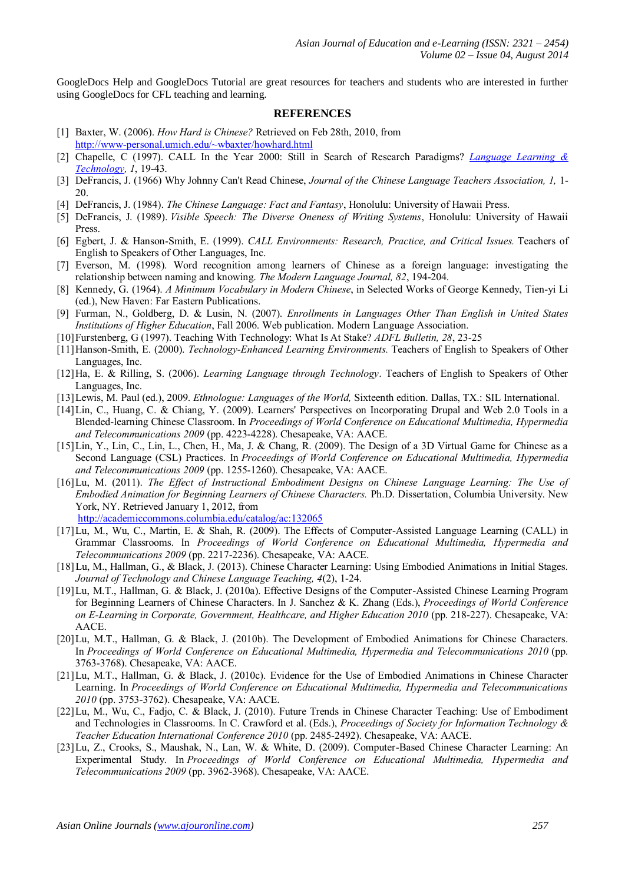GoogleDocs Help and GoogleDocs Tutorial are great resources for teachers and students who are interested in further using GoogleDocs for CFL teaching and learning.

# **REFERENCES**

- [1] Baxter, W. (2006). *How Hard is Chinese?* Retrieved on Feb 28th, 2010, from <http://www-personal.umich.edu/~wbaxter/howhard.html>
- [2] Chapelle, C (1997). CALL In the Year 2000: Still in Search of Research Paradigms? *[Language](http://llt.msu.edu/default.html) [Learning](http://llt.msu.edu/default.html) [&](http://llt.msu.edu/default.html)  [Technology,](http://llt.msu.edu/default.html) 1*, 19-43.
- [3] DeFrancis, J. (1966) Why Johnny Can't Read Chinese, *Journal of the Chinese Language Teachers Association, 1,* 1- 20.
- [4] DeFrancis, J. (1984). *The Chinese Language: Fact and Fantasy*, Honolulu: University of Hawaii Press.
- [5] DeFrancis, J. (1989). *Visible Speech: The Diverse Oneness of Writing Systems*, Honolulu: University of Hawaii Press.
- [6] Egbert, J. & Hanson-Smith, E. (1999). *CALL Environments: Research, Practice, and Critical Issues.* Teachers of English to Speakers of Other Languages, Inc.
- [7] Everson, M. (1998). Word recognition among learners of Chinese as a foreign language: investigating the relationship between naming and knowing. *The Modern Language Journal, 82*, 194-204.
- [8] Kennedy, G. (1964). *A Minimum Vocabulary in Modern Chinese*, in Selected Works of George Kennedy, Tien-yi Li (ed.), New Haven: Far Eastern Publications.
- [9] Furman, N., Goldberg, D. & Lusin, N. (2007). *Enrollments in Languages Other Than English in United States Institutions of Higher Education*, Fall 2006. Web publication. Modern Language Association.
- [10]Furstenberg, G (1997). Teaching With Technology: What Is At Stake? *ADFL Bulletin, 28*, 23-25
- [11]Hanson-Smith, E. (2000). *Technology-Enhanced Learning Environments.* Teachers of English to Speakers of Other Languages, Inc.
- [12]Ha, E. & Rilling, S. (2006). *Learning Language through Technology*. Teachers of English to Speakers of Other Languages, Inc.
- [13]Lewis, M. Paul (ed.), 2009. *Ethnologue: Languages of the World,* Sixteenth edition. Dallas, TX.: SIL International.
- [14]Lin, C., Huang, C. & Chiang, Y. (2009). Learners' Perspectives on Incorporating Drupal and Web 2.0 Tools in a Blended-learning Chinese Classroom. In *Proceedings of World Conference on Educational Multimedia, Hypermedia and Telecommunications 2009* (pp. 4223-4228). Chesapeake, VA: AACE.
- [15]Lin, Y., Lin, C., Lin, L., Chen, H., Ma, J. & Chang, R. (2009). The Design of a 3D Virtual Game for Chinese as a Second Language (CSL) Practices. In *Proceedings of World Conference on Educational Multimedia, Hypermedia and Telecommunications 2009* (pp. 1255-1260). Chesapeake, VA: AACE.
- [16]Lu, M. (2011). *The Effect of Instructional Embodiment Designs on Chinese Language Learning: The Use of Embodied Animation for Beginning Learners of Chinese Characters.* Ph.D. Dissertation, Columbia University. New York, NY. Retrieved January 1, 2012, from <http://academiccommons.columbia.edu/catalog/ac:132065>
- [17]Lu, M., Wu, C., Martin, E. & Shah, R. (2009). The Effects of Computer-Assisted Language Learning (CALL) in Grammar Classrooms. In *Proceedings of World Conference on Educational Multimedia, Hypermedia and Telecommunications 2009* (pp. 2217-2236). Chesapeake, VA: AACE.
- [18]Lu, M., Hallman, G., & Black, J. (2013). Chinese Character Learning: Using Embodied Animations in Initial Stages. *Journal of Technology and Chinese Language Teaching, 4*(2), 1-24.
- [19]Lu, M.T., Hallman, G. & Black, J. (2010a). Effective Designs of the Computer-Assisted Chinese Learning Program for Beginning Learners of Chinese Characters. In J. Sanchez & K. Zhang (Eds.), *Proceedings of World Conference on E-Learning in Corporate, Government, Healthcare, and Higher Education 2010* (pp. 218-227). Chesapeake, VA: AACE.
- [20]Lu, M.T., Hallman, G. & Black, J. (2010b). The Development of Embodied Animations for Chinese Characters. In *Proceedings of World Conference on Educational Multimedia, Hypermedia and Telecommunications 2010* (pp. 3763-3768). Chesapeake, VA: AACE.
- [21]Lu, M.T., Hallman, G. & Black, J. (2010c). Evidence for the Use of Embodied Animations in Chinese Character Learning. In *Proceedings of World Conference on Educational Multimedia, Hypermedia and Telecommunications 2010* (pp. 3753-3762). Chesapeake, VA: AACE.
- [22]Lu, M., Wu, C., Fadjo, C. & Black, J. (2010). Future Trends in Chinese Character Teaching: Use of Embodiment and Technologies in Classrooms. In C. Crawford et al. (Eds.), *Proceedings of Society for Information Technology & Teacher Education International Conference 2010* (pp. 2485-2492). Chesapeake, VA: AACE.
- [23]Lu, Z., Crooks, S., Maushak, N., Lan, W. & White, D. (2009). Computer-Based Chinese Character Learning: An Experimental Study. In *Proceedings of World Conference on Educational Multimedia, Hypermedia and Telecommunications 2009* (pp. 3962-3968). Chesapeake, VA: AACE.